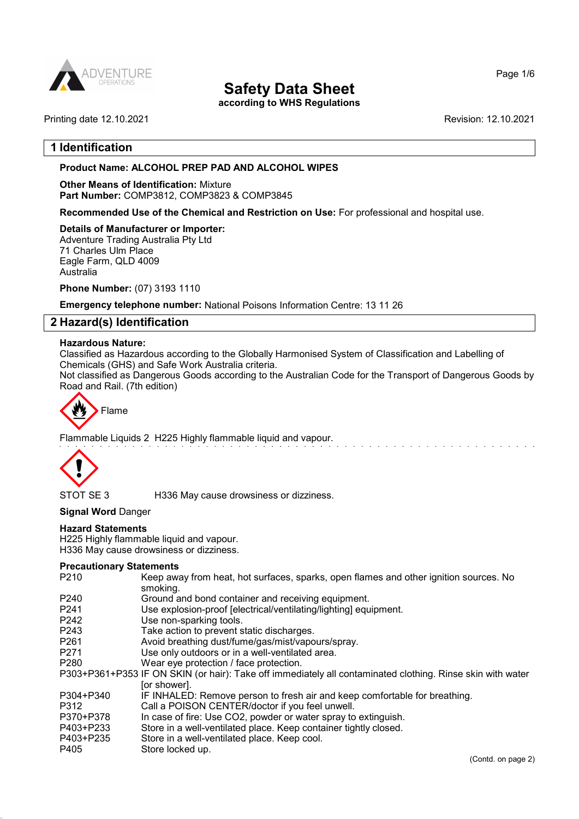

according to WHS Regulations

Page 1/6

# 1 Identification

#### Product Name: ALCOHOL PREP PAD AND ALCOHOL WIPES

Other Means of Identification: Mixture Part Number: COMP3812, COMP3823 & COMP3845

Recommended Use of the Chemical and Restriction on Use: For professional and hospital use.

#### Details of Manufacturer or Importer:

Adventure Trading Australia Pty Ltd 71 Charles Ulm Place Eagle Farm, QLD 4009 Australia

Phone Number: (07) 3193 1110

Emergency telephone number: National Poisons Information Centre: 13 11 26

### 2 Hazard(s) Identification

#### Hazardous Nature:

Classified as Hazardous according to the Globally Harmonised System of Classification and Labelling of Chemicals (GHS) and Safe Work Australia criteria.

Not classified as Dangerous Goods according to the Australian Code for the Transport of Dangerous Goods by Road and Rail. (7th edition)



Flammable Liquids 2 H225 Highly flammable liquid and vapour.



STOT SE 3 H336 May cause drowsiness or dizziness.

Signal Word Danger

#### Hazard Statements

H225 Highly flammable liquid and vapour. H336 May cause drowsiness or dizziness.

#### Precautionary Statements

| P <sub>210</sub> | Keep away from heat, hot surfaces, sparks, open flames and other ignition sources. No<br>smoking.          |
|------------------|------------------------------------------------------------------------------------------------------------|
| P <sub>240</sub> | Ground and bond container and receiving equipment.                                                         |
| P <sub>241</sub> | Use explosion-proof [electrical/ventilating/lighting] equipment.                                           |
| P242             | Use non-sparking tools.                                                                                    |
| P <sub>243</sub> | Take action to prevent static discharges.                                                                  |
| P <sub>261</sub> | Avoid breathing dust/fume/gas/mist/vapours/spray.                                                          |
| P <sub>271</sub> | Use only outdoors or in a well-ventilated area.                                                            |
| P <sub>280</sub> | Wear eye protection / face protection.                                                                     |
|                  | P303+P361+P353 IF ON SKIN (or hair): Take off immediately all contaminated clothing. Rinse skin with water |
|                  | [or shower].                                                                                               |
| P304+P340        | IF INHALED: Remove person to fresh air and keep comfortable for breathing.                                 |
| P312             | Call a POISON CENTER/doctor if you feel unwell.                                                            |
| P370+P378        | In case of fire: Use CO2, powder or water spray to extinguish.                                             |
| P403+P233        | Store in a well-ventilated place. Keep container tightly closed.                                           |
| P403+P235        | Store in a well-ventilated place. Keep cool.                                                               |
| P405             | Store locked up.                                                                                           |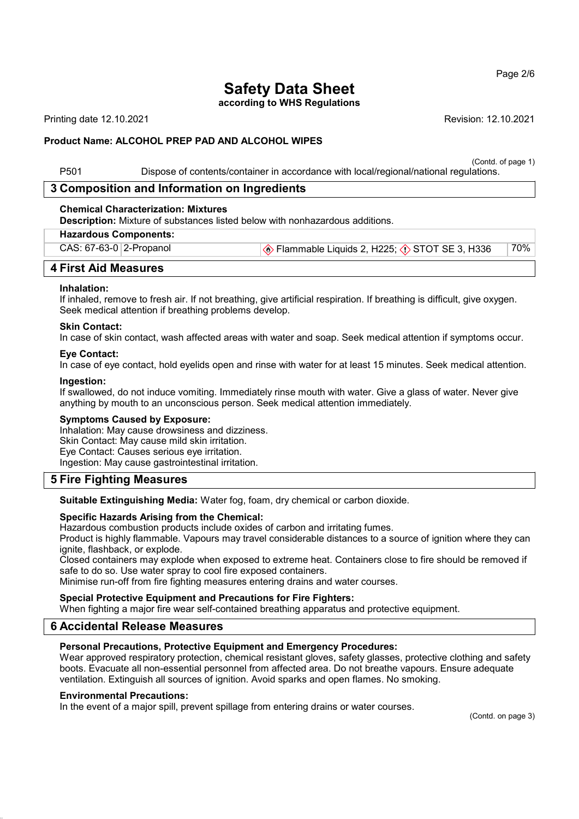according to WHS Regulations

Printing date 12.10.2021 Revision: 12.10.2021

#### Product Name: ALCOHOL PREP PAD AND ALCOHOL WIPES

(Contd. of page 1)

P501 Dispose of contents/container in accordance with local/regional/national regulations.

# 3 Composition and Information on Ingredients

#### Chemical Characterization: Mixtures

Description: Mixture of substances listed below with nonhazardous additions.

#### Hazardous Components:

|  | $CAS: 67-63-0$ 2-Propanol | $\ket{\textcircled*}$ Flammable Liquids 2, H225; $\textcircled*$ STOT SE 3, H336 | 70% |
|--|---------------------------|----------------------------------------------------------------------------------|-----|
|--|---------------------------|----------------------------------------------------------------------------------|-----|

# 4 First Aid Measures

#### Inhalation:

If inhaled, remove to fresh air. If not breathing, give artificial respiration. If breathing is difficult, give oxygen. Seek medical attention if breathing problems develop.

#### Skin Contact:

In case of skin contact, wash affected areas with water and soap. Seek medical attention if symptoms occur.

#### Eye Contact:

In case of eye contact, hold eyelids open and rinse with water for at least 15 minutes. Seek medical attention.

#### Ingestion:

If swallowed, do not induce vomiting. Immediately rinse mouth with water. Give a glass of water. Never give anything by mouth to an unconscious person. Seek medical attention immediately.

#### Symptoms Caused by Exposure:

Inhalation: May cause drowsiness and dizziness. Skin Contact: May cause mild skin irritation. Eye Contact: Causes serious eye irritation. Ingestion: May cause gastrointestinal irritation.

# 5 Fire Fighting Measures

Suitable Extinguishing Media: Water fog, foam, dry chemical or carbon dioxide.

#### Specific Hazards Arising from the Chemical:

Hazardous combustion products include oxides of carbon and irritating fumes.

Product is highly flammable. Vapours may travel considerable distances to a source of ignition where they can ignite, flashback, or explode.

Closed containers may explode when exposed to extreme heat. Containers close to fire should be removed if safe to do so. Use water spray to cool fire exposed containers.

Minimise run-off from fire fighting measures entering drains and water courses.

#### Special Protective Equipment and Precautions for Fire Fighters:

When fighting a major fire wear self-contained breathing apparatus and protective equipment.

# 6 Accidental Release Measures

#### Personal Precautions, Protective Equipment and Emergency Procedures:

Wear approved respiratory protection, chemical resistant gloves, safety glasses, protective clothing and safety boots. Evacuate all non-essential personnel from affected area. Do not breathe vapours. Ensure adequate ventilation. Extinguish all sources of ignition. Avoid sparks and open flames. No smoking.

#### Environmental Precautions:

In the event of a major spill, prevent spillage from entering drains or water courses.

(Contd. on page 3)

Page 2/6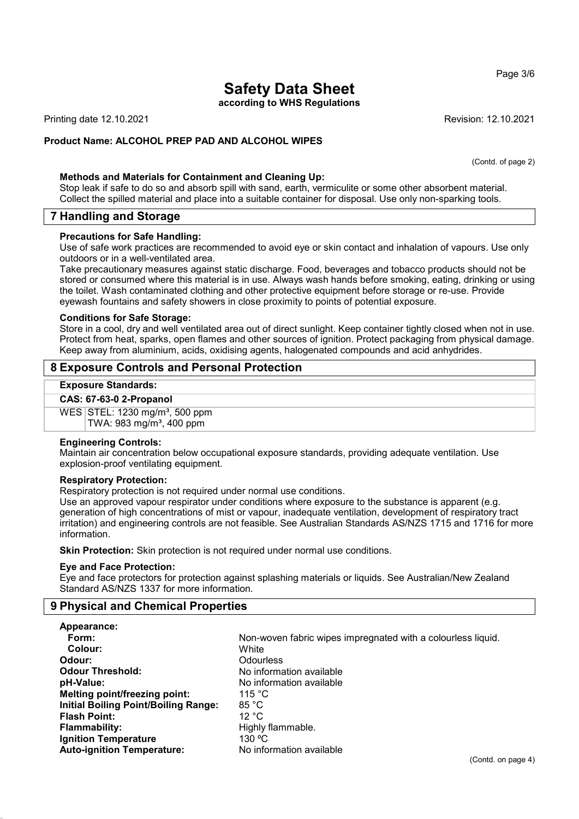#### Page 3/6

# Safety Data Sheet

according to WHS Regulations

Printing date 12.10.2021 Revision: 12.10.2021

(Contd. of page 2)

# Product Name: ALCOHOL PREP PAD AND ALCOHOL WIPES

### Methods and Materials for Containment and Cleaning Up:

Stop leak if safe to do so and absorb spill with sand, earth, vermiculite or some other absorbent material. Collect the spilled material and place into a suitable container for disposal. Use only non-sparking tools.

# 7 Handling and Storage

#### Precautions for Safe Handling:

Use of safe work practices are recommended to avoid eye or skin contact and inhalation of vapours. Use only outdoors or in a well-ventilated area.

Take precautionary measures against static discharge. Food, beverages and tobacco products should not be stored or consumed where this material is in use. Always wash hands before smoking, eating, drinking or using the toilet. Wash contaminated clothing and other protective equipment before storage or re-use. Provide eyewash fountains and safety showers in close proximity to points of potential exposure.

#### Conditions for Safe Storage:

Store in a cool, dry and well ventilated area out of direct sunlight. Keep container tightly closed when not in use. Protect from heat, sparks, open flames and other sources of ignition. Protect packaging from physical damage. Keep away from aluminium, acids, oxidising agents, halogenated compounds and acid anhydrides.

# 8 Exposure Controls and Personal Protection

#### Exposure Standards:

#### CAS: 67-63-0 2-Propanol

WES STEL: 1230 mg/m<sup>3</sup>, 500 ppm TWA: 983 mg/m³, 400 ppm

#### Engineering Controls:

Maintain air concentration below occupational exposure standards, providing adequate ventilation. Use explosion-proof ventilating equipment.

#### Respiratory Protection:

Respiratory protection is not required under normal use conditions.

Use an approved vapour respirator under conditions where exposure to the substance is apparent (e.g. generation of high concentrations of mist or vapour, inadequate ventilation, development of respiratory tract irritation) and engineering controls are not feasible. See Australian Standards AS/NZS 1715 and 1716 for more information.

Skin Protection: Skin protection is not required under normal use conditions.

#### Eye and Face Protection:

Eye and face protectors for protection against splashing materials or liquids. See Australian/New Zealand Standard AS/NZS 1337 for more information.

# 9 Physical and Chemical Properties

| Appearance:                                 |                          |
|---------------------------------------------|--------------------------|
| Form:                                       | Non-woven fabric wipes   |
| Colour:                                     | White                    |
| Odour:                                      | Odourless                |
| <b>Odour Threshold:</b>                     | No information available |
| pH-Value:                                   | No information available |
| <b>Melting point/freezing point:</b>        | 115 $\degree$ C          |
| <b>Initial Boiling Point/Boiling Range:</b> | 85 °C                    |
| <b>Flash Point:</b>                         | 12 °C                    |
| <b>Flammability:</b>                        | Highly flammable.        |
| <b>Ignition Temperature</b>                 | 130 °C                   |
| <b>Auto-ignition Temperature:</b>           | No information available |

Non-woven fabric wipes impregnated with a colourless liquid. White **Odourless** No information available No information available  $115 °C$ 85 °C  $12 °C$ Highly flammable.  $130 \text{ °C}$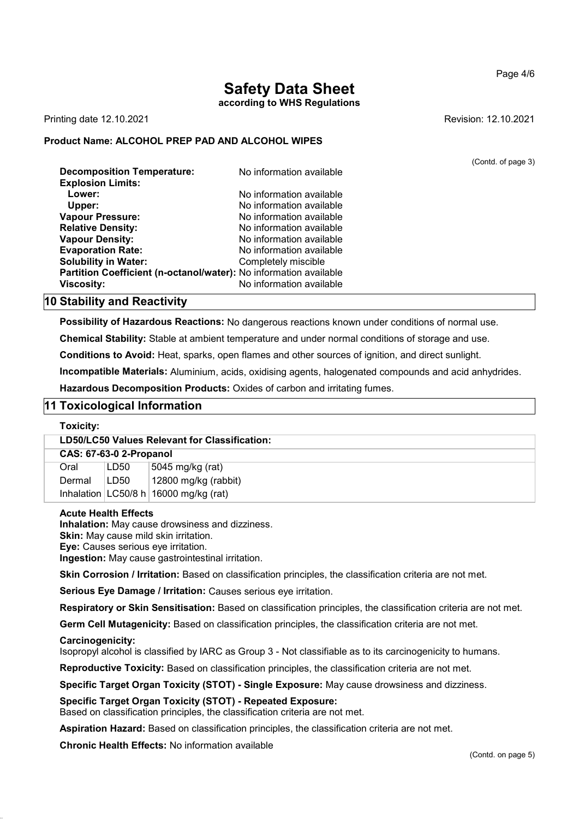#### Page 4/6

# Safety Data Sheet

according to WHS Regulations

Printing date 12.10.2021 **Revision: 12.10.2021** 

### Product Name: ALCOHOL PREP PAD AND ALCOHOL WIPES

|                                                                   |                          | (Contd. of page 3) |
|-------------------------------------------------------------------|--------------------------|--------------------|
| <b>Decomposition Temperature:</b>                                 | No information available |                    |
| <b>Explosion Limits:</b>                                          |                          |                    |
| Lower:                                                            | No information available |                    |
| Upper:                                                            | No information available |                    |
| <b>Vapour Pressure:</b>                                           | No information available |                    |
| <b>Relative Density:</b>                                          | No information available |                    |
| <b>Vapour Density:</b>                                            | No information available |                    |
| <b>Evaporation Rate:</b>                                          | No information available |                    |
| <b>Solubility in Water:</b>                                       | Completely miscible      |                    |
| Partition Coefficient (n-octanol/water): No information available |                          |                    |
| <b>Viscosity:</b>                                                 | No information available |                    |
|                                                                   |                          |                    |

# 10 Stability and Reactivity

Possibility of Hazardous Reactions: No dangerous reactions known under conditions of normal use.

Chemical Stability: Stable at ambient temperature and under normal conditions of storage and use.

Conditions to Avoid: Heat, sparks, open flames and other sources of ignition, and direct sunlight.

Incompatible Materials: Aluminium, acids, oxidising agents, halogenated compounds and acid anhydrides.

Hazardous Decomposition Products: Oxides of carbon and irritating fumes.

# 11 Toxicological Information

#### Toxicity:

| LD50/LC50 Values Relevant for Classification: |      |                                          |  |  |
|-----------------------------------------------|------|------------------------------------------|--|--|
| <b>CAS: 67-63-0 2-Propanol</b>                |      |                                          |  |  |
| Oral                                          | LD50 | 5045 mg/kg (rat)                         |  |  |
| Dermal                                        | LD50 | $\vert$ 12800 mg/kg (rabbit)             |  |  |
|                                               |      | Inhalation $ LG50/8 h 16000 mg/kg$ (rat) |  |  |

#### Acute Health Effects

Inhalation: May cause drowsiness and dizziness.

**Skin:** May cause mild skin irritation.

Eye: Causes serious eye irritation.

Ingestion: May cause gastrointestinal irritation.

Skin Corrosion / Irritation: Based on classification principles, the classification criteria are not met.

Serious Eye Damage / Irritation: Causes serious eve irritation.

Respiratory or Skin Sensitisation: Based on classification principles, the classification criteria are not met.

Germ Cell Mutagenicity: Based on classification principles, the classification criteria are not met.

Carcinogenicity:

Isopropyl alcohol is classified by IARC as Group 3 - Not classifiable as to its carcinogenicity to humans.

Reproductive Toxicity: Based on classification principles, the classification criteria are not met.

Specific Target Organ Toxicity (STOT) - Single Exposure: May cause drowsiness and dizziness.

Specific Target Organ Toxicity (STOT) - Repeated Exposure:

Based on classification principles, the classification criteria are not met.

Aspiration Hazard: Based on classification principles, the classification criteria are not met.

Chronic Health Effects: No information available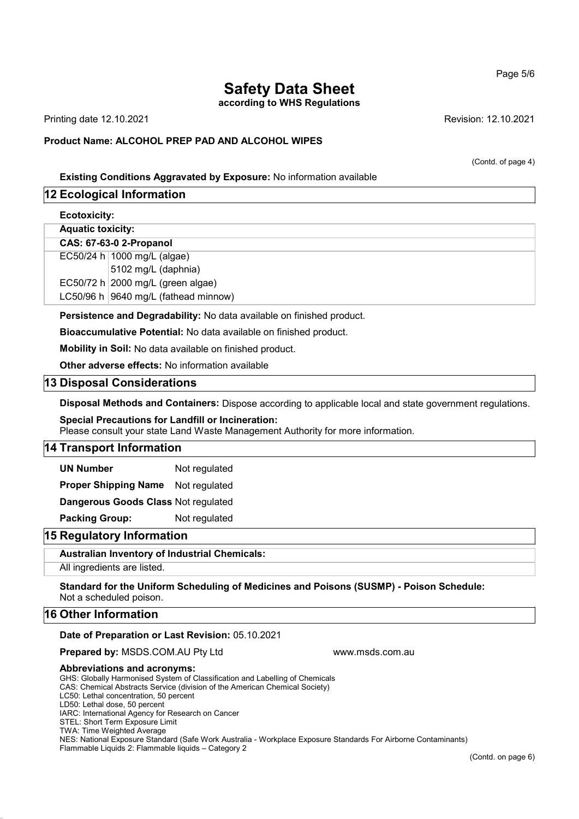according to WHS Regulations

Printing date 12.10.2021 Revision: 12.10.2021

### Product Name: ALCOHOL PREP PAD AND ALCOHOL WIPES

(Contd. of page 4)

### Existing Conditions Aggravated by Exposure: No information available

# 12 Ecological Information

Ecotoxicity:

Aquatic toxicity:

#### CAS: 67-63-0 2-Propanol

EC50/24 h 1000 mg/L (algae) 5102 mg/L (daphnia)

EC50/72 h  $2000$  mg/L (green algae)

LC50/96 h 9640 mg/L (fathead minnow)

Persistence and Degradability: No data available on finished product.

Bioaccumulative Potential: No data available on finished product.

Mobility in Soil: No data available on finished product.

Other adverse effects: No information available

### 13 Disposal Considerations

Disposal Methods and Containers: Dispose according to applicable local and state government regulations.

# Special Precautions for Landfill or Incineration:

Please consult your state Land Waste Management Authority for more information.

# 14 Transport Information

UN Number Not regulated

Proper Shipping Name Not regulated

Dangerous Goods Class Not regulated

Packing Group: Not regulated

# 15 Regulatory Information

#### Australian Inventory of Industrial Chemicals:

All ingredients are listed.

Standard for the Uniform Scheduling of Medicines and Poisons (SUSMP) - Poison Schedule: Not a scheduled poison.

### 16 Other Information

#### Date of Preparation or Last Revision: 05.10.2021

**Prepared by: MSDS.COM.AU Pty Ltd www.msds.com.au** 

#### Abbreviations and acronyms:

GHS: Globally Harmonised System of Classification and Labelling of Chemicals CAS: Chemical Abstracts Service (division of the American Chemical Society) LC50: Lethal concentration, 50 percent LD50: Lethal dose, 50 percent IARC: International Agency for Research on Cancer STEL: Short Term Exposure Limit TWA: Time Weighted Average NES: National Exposure Standard (Safe Work Australia - Workplace Exposure Standards For Airborne Contaminants) Flammable Liquids 2: Flammable liquids – Category 2

Page 5/6